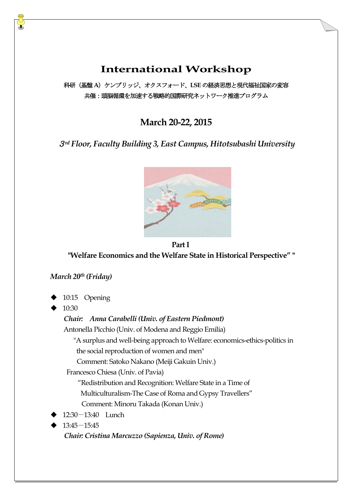# **International Workshop**

科研(基盤**A**)ケンブリッジ、オクスフォード、**LSE** の経済思想と現代福祉国家の変容 共催:頭脳循環を加速する戦略的国際研究ネットワーク推進プログラム

# **March 20-22, 2015**

# <sup>3</sup>*rd Floor, Faculty Building 3, East Campus, Hitotsubashi University*



**Part I**

**"Welfare Economics and the Welfare State in Historical Perspective" "**

### *March 20th (Friday)*

10:15 Opening

10:30

# *Chair: Anna Carabelli (Univ. of Eastern Piedmont)* Antonella Picchio (Univ. of Modena and Reggio Emilia) "A surplus and well-being approach to Welfare: economics-ethics-politics in the social reproduction of women and men" Comment: Satoko Nakano (Meiji Gakuin Univ.) Francesco Chiesa (Univ. of Pavia) "Redistribution and Recognition: Welfare State in a Time of Multiculturalism-The Case of Roma and Gypsy Travellers" Comment: Minoru Takada (Konan Univ.) 12:30-13:40 Lunch 13:45-15:45

*Chair: Cristina Marcuzzo (Sapienza, Univ. of Rome)*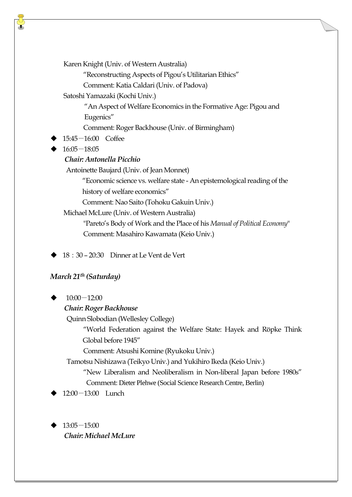Karen Knight (Univ. of Western Australia)

"Reconstructing Aspects of Pigou's Utilitarian Ethics"

Comment: Katia Caldari (Univ. of Padova)

Satoshi Yamazaki (Kochi Univ.)

"An Aspect of Welfare Economics in the Formative Age: Pigou and Eugenics"

Comment: Roger Backhouse (Univ. of Birmingham)

- 15:45-16:00 Coffee
- 16:05-18:05

## *Chair: Antonella Picchio*

Antoinette Baujard (Univ. of Jean Monnet)

"Economic science vs. welfare state - An epistemological reading of the history of welfare economics"

Comment: Nao Saito (Tohoku Gakuin Univ.)

Michael McLure (Univ. of Western Australia)

 "Pareto's Body of Work and the Place of his *Manual of Political Economy*" Comment: Masahiro Kawamata (Keio Univ.)

18:30 – 20:30 Dinner at Le Vent de Vert

## *March 21th (Saturday)*

10:00-12:00

### *Chair: Roger Backhouse*

Quinn Slobodian (Wellesley College)

 "World Federation against the Welfare State: Hayek and Röpke Think Global before 1945"

Comment: Atsushi Komine (Ryukoku Univ.)

Tamotsu Nishizawa (Teikyo Univ.) and Yukihiro Ikeda (Keio Univ.)

 "New Liberalism and Neoliberalism in Non-liberal Japan before 1980s" Comment: Dieter Plehwe (Social Science Research Centre, Berlin)

12:00-13:00 Lunch

 13:05-15:00 *Chair: Michael McLure*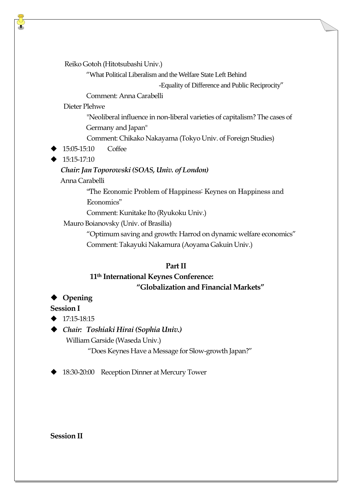Reiko Gotoh (Hitotsubashi Univ.)

"What Political Liberalism and the Welfare State Left Behind

-Equality of Difference and Public Reciprocity"

Comment: Anna Carabelli

Dieter Plehwe

 "Neoliberal influence in non-liberal varieties of capitalism? The cases of Germany and Japan"

Comment: Chikako Nakayama (Tokyo Univ. of Foreign Studies)

- 15:05-15:10 Coffee
- $\blacktriangleright$  15:15-17:10

# *Chair: Jan Toporowski (SOAS, Univ. of London)*

Anna Carabelli

 "The Economic Problem of Happiness: Keynes on Happiness and Economics"

Comment: Kunitake Ito (Ryukoku Univ.)

Mauro Boianovsky (Univ. of Brasilia)

 "Optimum saving and growth: Harrod on dynamic welfare economics" Comment: Takayuki Nakamura (Aoyama Gakuin Univ.)

## **PartII**

# **11th International Keynes Conference: "Globalization and Financial Markets"**

# ◆ Opening

# **Session I**

 $\triangle$  17:15-18:15

*Chair: Toshiaki Hirai (Sophia Univ.)*

William Garside (Waseda Univ.)

"Does Keynes Have a Message for Slow-growth Japan?"

18:30-20:00 Reception Dinner at Mercury Tower

## **Session II**